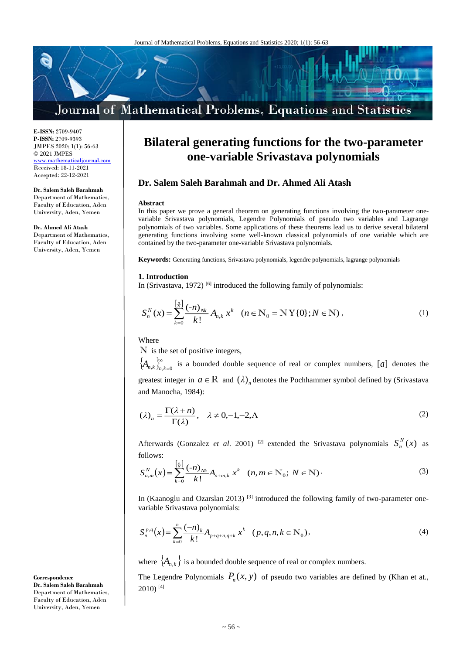

**Dr. Salem Saleh Barahmah and Dr. Ahmed Ali Atash**

contained by the two-parameter one-variable Srivastava polynomials.

**E-ISSN:** 2709-9407 **P-ISSN:** 2709-9393 JMPES 2020; 1(1): 56-63 © 2021 JMPES <www.mathematicaljournal.com> Received: 18-11-2021 Accepted: 22-12-2021

**Dr. Salem Saleh Barahmah**  Department of Mathematics, Faculty of Education, Aden University, Aden, Yemen

**Dr. Ahmed Ali Atash**

Department of Mathematics, Faculty of Education, Aden University, Aden, Yemen

Where

**1. Introduction**

**Abstract**

N is the set of positive integers,

 $\left[\frac{n}{N}\right]$ 

*N n*

*k*

 $S_{n}^{N}(x) = \sum_{n=0}^{\infty} \frac{(-n)}{n!}$ 

 $\{A_{n,k}\}_{n,k=0}^{\infty}$  is a bounded double sequence of real or complex numbers, [*a*] denotes the greatest integer in  $a \in \mathbb{R}$  and  $(\lambda)_n$  denotes the Pochhammer symbol defined by (Srivastava and Manocha, 1984):

 $f(x) = \sum_{k=1}^{N} \frac{(-n)_{Nk}}{(1-x)^k} A_{n,k} x^k$   $(n \in N_0 = N Y \{0\}; N \in N),$  (1)

**Bilateral generating functions for the two-parameter one-variable Srivastava polynomials**

In this paper we prove a general theorem on generating functions involving the two-parameter onevariable Srivastava polynomials, Legendre Polynomials of pseudo two variables and Lagrange polynomials of two variables. Some applications of these theorems lead us to derive several bilateral generating functions involving some well-known classical polynomials of one variable which are

**Keywords:** Generating functions, Srivastava polynomials, legendre polynomials, lagrange polynomials

In (Srivastava, 1972)<sup>[6]</sup> introduced the following family of polynomials:

 $=\sum_{k=1}^{N} \frac{(n_i)^{N_k}}{n_i!} A_{n,k} x^k$   $(n \in \mathbb{N}_0 = \mathbb{N} \mathbb{Y}\{0\}; N \in \mathbb{N}$ 

 $\int_{0}^{\infty} \frac{N}{k!} A_{n,k} x^{k}$   $(n \in N_0 = N Y \{0\}; N \in N)$ 

 $\sum_{k=0}^{N} \frac{(n_{N_k}}{k!} A_{n,k} x^k$   $(n \in \mathbb{N}_0 = \mathbb{N} Y \{0\}; N)$ 

$$
(\lambda)_n = \frac{\Gamma(\lambda + n)}{\Gamma(\lambda)}, \quad \lambda \neq 0, -1, -2, \Lambda
$$
 (2)

Afterwards (Gonzalez *et al.* 2001)<sup>[2]</sup> extended the Srivastava polynomials  $S_n^N(x)$  $\binom{n}{n}(x)$  as follows:

$$
S_{n,m}^{N}(x) = \sum_{k=0}^{\left[\frac{n}{N}\right]} \frac{(-n)_{Nk}}{k!} A_{n+m,k} x^{k} \quad (n, m \in \mathbb{N}_{0}; N \in \mathbb{N})
$$
 (3)

In (Kaanoglu and Ozarslan 2013)<sup>[3]</sup> introduced the following family of two-parameter onevariable Srivastava polynomials:

$$
S_n^{p,q}(x) = \sum_{k=0}^n \frac{(-n)_k}{k!} A_{p+q+n,q+k} x^k \quad (p,q,n,k \in \mathbb{N}_0),
$$
 (4)

where  $\{A_{n,k}\}\$  is a bounded double sequence of real or complex numbers.

The Legendre Polynomials  $P_n(x, y)$  of pseudo two variables are defined by (Khan et at.,  $2010$ <sup>[4]</sup>

**Correspondence Dr. Salem Saleh Barahmah**  Department of Mathematics, Faculty of Education, Aden University, Aden, Yemen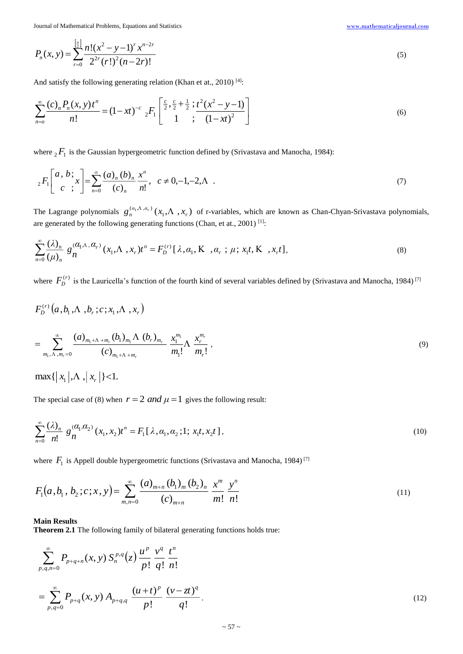Journal of Mathematical Problems, Equations and Statistics [www.mathematicaljournal.com](file://server/test/mathematicaljournal.com/issue/1%20Vol/1%20issue/www.mathematicaljournal.com)

$$
P_n(x, y) = \sum_{r=0}^{\left[\frac{n}{2}\right]} \frac{n!(x^2 - y - 1)^r x^{n-2r}}{2^{2r}(r!)^2 (n - 2r)!}
$$
\n<sup>(5)</sup>

And satisfy the following generating relation (Khan et at., 2010)<sup>[4]</sup>:

$$
\sum_{n=0}^{\infty} \frac{(c)_n P_n(x, y) t^n}{n!} = (1 - xt)^{-c} {}_2F_1 \left[ \frac{\frac{c}{2}, \frac{c}{2} + \frac{1}{2}; t^2 (x^2 - y - 1)}{1; (1 - xt)^2} \right]
$$
(6)

where  ${}_{2}F_{1}$  is the Gaussian hypergeometric function defined by (Srivastava and Manocha, 1984):

$$
{}_{2}F_{1}\left[\begin{array}{c}a, b; \\ c \end{array}; x\right] = \sum_{n=0}^{\infty} \frac{(a)_{n}(b)_{n}}{(c)_{n}} \frac{x^{n}}{n!}, \quad c \neq 0, -1, -2, \Lambda \quad . \tag{7}
$$

The Lagrange polynomials  $g_n^{(a_1,\Lambda,a_r)}(x_1,\Lambda, x_r)$  $g_n^{(a_1,\Lambda,a_r)}(x_1,\Lambda,x_r)$  of r-variables, which are known as Chan-Chyan-Srivastava polynomials, are generated by the following generating functions (Chan, et at., 2001)  $^{[1]}$ :

$$
\sum_{n=0}^{\infty} \frac{(\lambda)_n}{(\mu)_n} g_n^{(\alpha_1 \Lambda, \alpha_r)}(x_1, \Lambda, x_r) t^n = F_D^{(r)}[\lambda, \alpha_1, \mathbf{K}, \alpha_r; \mu; x_1 t, \mathbf{K}, x_r t],
$$
\n(8)

where  $F_D^{(r)}$  is the Lauricella's function of the fourth kind of several variables defined by (Srivastava and Manocha, 1984)<sup>[7]</sup>

$$
F_D^{(r)}(a, b_1, \Lambda, b_r; c; x_1, \Lambda, x_r)
$$
  
= 
$$
\sum_{m_1, \Lambda, m_r=0}^{\infty} \frac{(a)_{m_1+\Lambda+m_r}(b_1)_{m_1}\Lambda (b_r)_{m_r}}{(c)_{m_1+\Lambda+m_r}} \frac{x_1^{m_1}}{m_1!} \Lambda \frac{x_r^{m_r}}{m_r!},
$$
 (9)

 $\max\{ |x_1|, \Lambda, |x_r| \}$  < 1.

The special case of (8) when  $r = 2$  *and*  $\mu = 1$  gives the following result:

$$
\sum_{n=0}^{\infty} \frac{(\lambda)_n}{n!} g_n^{(\alpha_1, \alpha_2)}(x_1, x_2) t^n = F_1[\lambda, \alpha_1, \alpha_2; 1; x_1t, x_2t],
$$
\n(10)

where  $F_1$  is Appell double hypergeometric functions (Srivastava and Manocha, 1984)<sup>[7]</sup>

$$
F_1(a, b_1, b_2; c; x, y) = \sum_{m,n=0}^{\infty} \frac{(a)_{m+n} (b_1)_m (b_2)_n}{(c)_{m+n}} \frac{x^m}{m!} \frac{y^n}{n!}
$$
\n(11)

## **Main Results**

**Theorem 2.1** The following family of bilateral generating functions holds true:

$$
\sum_{p,q,n=0}^{\infty} P_{p+q+n}(x,y) S_n^{p,q}(z) \frac{u^p}{p!} \frac{v^q}{q!} \frac{t^n}{n!}
$$
  
= 
$$
\sum_{p,q=0}^{\infty} P_{p+q}(x,y) A_{p+q,q} \frac{(u+t)^p}{p!} \frac{(v-zt)^q}{q!}.
$$
 (12)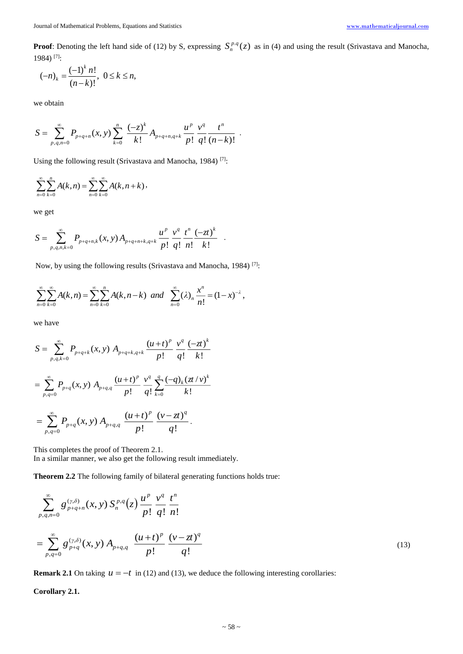**Proof**: Denoting the left hand side of (12) by S, expressing  $S_n^{p,q}(z)$  as in (4) and using the result (Srivastava and Manocha, 1984) [7] :

$$
(-n)_k = \frac{(-1)^k n!}{(n-k)!}, \ 0 \le k \le n,
$$

we obtain

$$
S=\sum_{p,q,n=0}^{\infty}P_{p+q+n}(x,y)\sum_{k=0}^{n}\frac{(-z)^{k}}{k!}A_{p+q+n,q+k}\frac{u^{p}}{p!}\frac{v^{q}}{q!}\frac{t^{n}}{(n-k)!}.
$$

Using the following result (Srivastava and Manocha, 1984)<sup>[7]</sup>:

$$
\sum_{n=0}^{\infty}\sum_{k=0}^{n}A(k,n)=\sum_{n=0}^{\infty}\sum_{k=0}^{\infty}A(k,n+k),
$$

we get

$$
S = \sum_{p,q,n,k=0}^{\infty} P_{p+q+n,k}(x,y) A_{p+q+n+k,q+k} \frac{u^p}{p!} \frac{v^q}{q!} \frac{t^n}{n!} \frac{(-zt)^k}{k!}.
$$

Now, by using the following results (Srivastava and Manocha, 1984)<sup>[7]</sup>:

$$
\sum_{n=0}^{\infty} \sum_{k=0}^{\infty} A(k,n) = \sum_{n=0}^{\infty} \sum_{k=0}^{n} A(k,n-k) \ \ and \ \ \sum_{n=0}^{\infty} (\lambda)_n \frac{x^n}{n!} = (1-x)^{-\lambda},
$$

we have

$$
S = \sum_{p,q,k=0}^{\infty} P_{p+q+k}(x, y) A_{p+q+k,q+k} \frac{(u+t)^p}{p!} \frac{v^q}{q!} \frac{(-zt)^k}{k!}
$$
  
= 
$$
\sum_{p,q=0}^{\infty} P_{p+q}(x, y) A_{p+q,q} \frac{(u+t)^p}{p!} \frac{v^q}{q!} \sum_{k=0}^q \frac{(-q)_k (zt/v)^k}{k!}
$$
  
= 
$$
\sum_{p,q=0}^{\infty} P_{p+q}(x, y) A_{p+q,q} \frac{(u+t)^p}{p!} \frac{(v-zt)^q}{q!}.
$$

This completes the proof of Theorem 2.1. In a similar manner, we also get the following result immediately.

**Theorem 2.2** The following family of bilateral generating functions holds true:

$$
\sum_{p,q,n=0}^{\infty} g_{p+q+n}^{(\gamma,\delta)}(x,y) S_n^{p,q}(z) \frac{u^p}{p!} \frac{v^q}{q!} \frac{t^n}{n!}
$$
  
= 
$$
\sum_{p,q=0}^{\infty} g_{p+q}^{(\gamma,\delta)}(x,y) A_{p+q,q} \frac{(u+t)^p}{p!} \frac{(v-zt)^q}{q!}
$$
 (13)

**Remark 2.1** On taking  $u = -t$  in (12) and (13), we deduce the following interesting corollaries:

**Corollary 2.1.**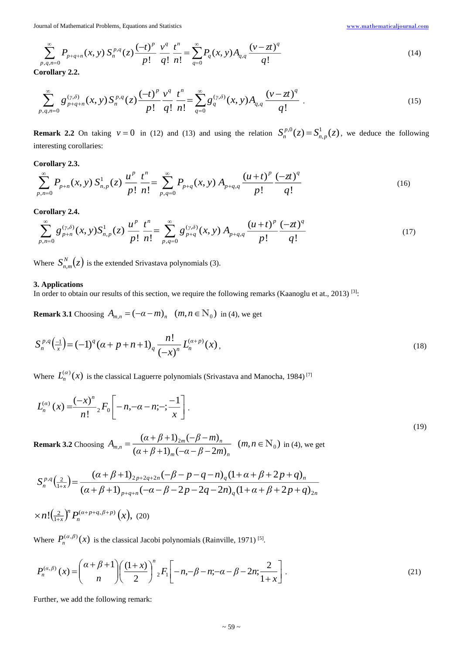Journal of Mathematical Problems, Equations and Statistics [www.mathematicaljournal.com](file://server/test/mathematicaljournal.com/issue/1%20Vol/1%20issue/www.mathematicaljournal.com)

$$
\sum_{p,q,n=0}^{\infty} P_{p+q+n}(x,y) S_n^{p,q}(z) \frac{(-t)^p}{p!} \frac{v^q}{q!} \frac{t^n}{n!} = \sum_{q=0}^{\infty} P_q(x,y) A_{q,q} \frac{(v-zt)^q}{q!}
$$
\n(14)

**Corollary 2.2.** 

$$
\sum_{p,q,n=0}^{\infty} g_{p+q+n}^{(\gamma,\delta)}(x,y) S_n^{p,q}(z) \frac{(-t)^p}{p!} \frac{v^q}{q!} \frac{t^n}{n!} = \sum_{q=0}^{\infty} g_q^{(\gamma,\delta)}(x,y) A_{q,q} \frac{(\nu - zt)^q}{q!}.
$$
\n(15)

**Remark 2.2** On taking  $v = 0$  in (12) and (13) and using the relation  $S_n^{p,0}(z) = S_{n,n}^1(z)$  $S_n^{p,0}(z) = S_{n,p}^1(z)$ , we deduce the following interesting corollaries:

**Corollary 2.3.** 

$$
\sum_{p,n=0}^{\infty} P_{p+n}(x, y) S_{n,p}^1(z) \frac{u^p}{p!} \frac{t^n}{n!} = \sum_{p,q=0}^{\infty} P_{p+q}(x, y) A_{p+q,q} \frac{(u+t)^p}{p!} \frac{(-zt)^q}{q!}
$$
(16)

## **Corollary 2.4.**

$$
\sum_{p,n=0}^{\infty} g_{p+n}^{(\gamma,\delta)}(x,y) S_{n,p}^1(z) \frac{u^p}{p!} \frac{t^n}{n!} = \sum_{p,q=0}^{\infty} g_{p+q}^{(\gamma,\delta)}(x,y) A_{p+q,q} \frac{(u+t)^p}{p!} \frac{(-zt)^q}{q!}
$$
(17)

Where  $S_{n,m}^N(z)$  $\binom{n}{n,m}(z)$  is the extended Srivastava polynomials (3).

## **3. Applications**

In order to obtain our results of this section, we require the following remarks (Kaanoglu et at., 2013) [3].

**Remark 3.1** Choosing  $A_{m,n} = (-\alpha - m)_n$   $(m, n \in \mathbb{N}_0)$  in (4), we get

$$
S_n^{p,q}\left(\frac{-1}{x}\right) = (-1)^q \left(\alpha + p + n + 1\right)_q \frac{n!}{\left(-x\right)^n} L_n^{(\alpha+p)}(x),\tag{18}
$$

Where  $L_n^{(\alpha)}(x)$  is the classical Laguerre polynomials (Srivastava and Manocha, 1984)<sup>[7]</sup>

$$
L_n^{(\alpha)}(x) = \frac{(-x)^n}{n!} {}_2F_0\bigg[-n, -\alpha - n; -; \frac{-1}{x}\bigg].
$$
\n(19)

**Remark 3.2** Choosing  $A_{m,n} = \frac{(m+n+1)}{2m(n+1)}$   $(m,n \in \mathbb{N}_0)$  $(\alpha + \beta + 1)$ <sub>m</sub> $(-\alpha - \beta - 2m)$  $\sum_{n=1}^{\infty} \frac{(a+\beta+1)_{2m}(-\beta-m)_n}{(a+\beta+1)(-a-\beta-2m)}$  (m, n  $\in \mathbb{N}_0$  $=\frac{(\alpha + \beta + 1)_{2m}(-\beta - m)_{n}}{(\alpha + \beta + 1)_{m}(-\alpha - \beta - 2m)_{n}}$  (*m*, *n*)  $A = \frac{(a + \beta + 1)_{2m}(-\beta - m)}{}$ *m n*  $m_n = \frac{(n+1)(n+1)(n+1)}{(n+1)(n+1)(n+1)}$   $(m, n \in \mathbb{N}_0)$  in (4), we get

$$
S_n^{p,q}(\frac{2}{1+x}) = \frac{(\alpha + \beta + 1)_{2p+2q+2n}(-\beta - p - q - n)_{q}(1 + \alpha + \beta + 2p + q)_{n}}{(\alpha + \beta + 1)_{p+q+n}(-\alpha - \beta - 2p - 2q - 2n)_{q}(1 + \alpha + \beta + 2p + q)_{2n}}
$$
  
× $n!(\frac{2}{1+x})^n P_n^{(\alpha+p+q,\beta+p)}(x)$ , (20)

Where  $P_n^{(\alpha,\beta)}(x)$  is the classical Jacobi polynomials (Rainville, 1971)<sup>[5]</sup>.

$$
P_n^{(\alpha,\beta)}(x) = \binom{\alpha+\beta+1}{n} \left(\frac{(1+x)}{2}\right)^n {}_2F_1\left[-n,-\beta-n;-\alpha-\beta-2n;\frac{2}{1+x}\right].\tag{21}
$$

Further, we add the following remark:

*x*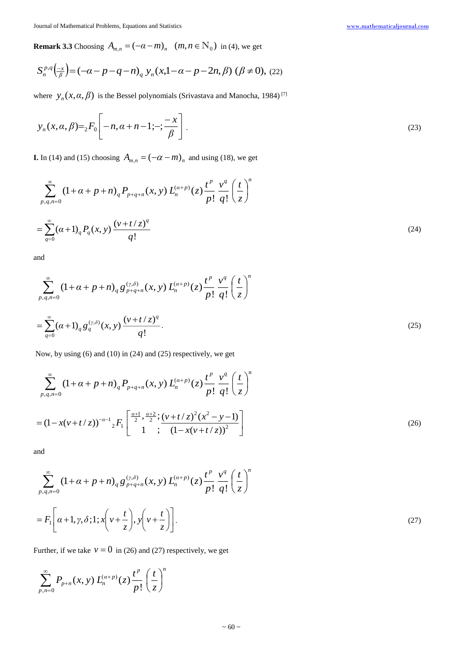**Remark 3.3** Choosing  $A_{m,n} = (-\alpha - m)_{n}$   $(m, n \in \mathbb{N}_{0})$  in (4), we get

$$
S_n^{p,q}(\frac{-x}{\beta}) = (-\alpha - p - q - n)_{q} y_n(x, 1 - \alpha - p - 2n, \beta) (\beta \neq 0), (22)
$$

where  $y_n(x, \alpha, \beta)$  is the Bessel polynomials (Srivastava and Manocha, 1984)<sup>[7]</sup>

$$
y_n(x, \alpha, \beta) = {}_2F_0 \left[ -n, \alpha + n - 1; -; \frac{-x}{\beta} \right].
$$
 (23)

**I.** In (14) and (15) choosing  $A_{m,n} = (-\alpha - m)$ <sub>n</sub> and using (18), we get

$$
\sum_{p,q,n=0}^{\infty} (1+\alpha+p+n) {}_{q}P_{p+q+n}(x,y) L_{n}^{(\alpha+p)}(z) \frac{t^{p}}{p!} \frac{v^{q}}{q!} \left(\frac{t}{z}\right)^{n}
$$
  
=
$$
\sum_{q=0}^{\infty} (\alpha+1) {}_{q}P_{q}(x,y) \frac{(v+t/z)^{q}}{q!}
$$
 (24)

and

$$
\sum_{p,q,n=0}^{\infty} (1+\alpha+p+n) \binom{g^{(\gamma,\delta)}}{p+q+n}(x,y) L_n^{(\alpha+p)}(z) \frac{t^p}{p!} \frac{v^q}{q!} \left(\frac{t}{z}\right)^n
$$
\n
$$
= \sum_{q=0}^{\infty} (\alpha+1) \binom{g^{(\gamma,\delta)}}{q} (x,y) \frac{(v+t/z)^q}{q!}.
$$
\n(25)

Now, by using (6) and (10) in (24) and (25) respectively, we get

$$
\sum_{p,q,n=0}^{\infty} (1+\alpha+p+n) {}_{q}P_{p+q+n}(x,y) L_{n}^{(\alpha+p)}(z) \frac{t^{p}}{p!} \frac{v^{q}}{q!} \left(\frac{t}{z}\right)^{n}
$$
  
=  $(1-x(v+t/z))^{-\alpha-1} {}_{2}F_{1} \left[ \frac{\frac{\alpha+1}{2}, \frac{\alpha+2}{2}; (v+t/z)^{2}(x^{2}-y-1)}{1}; \frac{1-x(v+t/z))^{2}} \right]$  (26)

and

$$
\sum_{p,q,n=0}^{\infty} (1+\alpha+p+n) \binom{g^{(\gamma,\delta)}}{p+q+n}(x,y) L_n^{(\alpha+p)}(z) \frac{t^p}{p!} \frac{v^q}{q!} \left(\frac{t}{z}\right)^n
$$
  
=  $F_1\left[\alpha+1,\gamma,\delta;1;x\left(\nu+\frac{t}{z}\right),y\left(\nu+\frac{t}{z}\right)\right].$  (27)

Further, if we take  $v = 0$  in (26) and (27) respectively, we get

$$
\sum_{p,n=0}^{\infty} P_{p+n}(x, y) L_n^{(\alpha+p)}(z) \frac{t^p}{p!} \left(\frac{t}{z}\right)^n
$$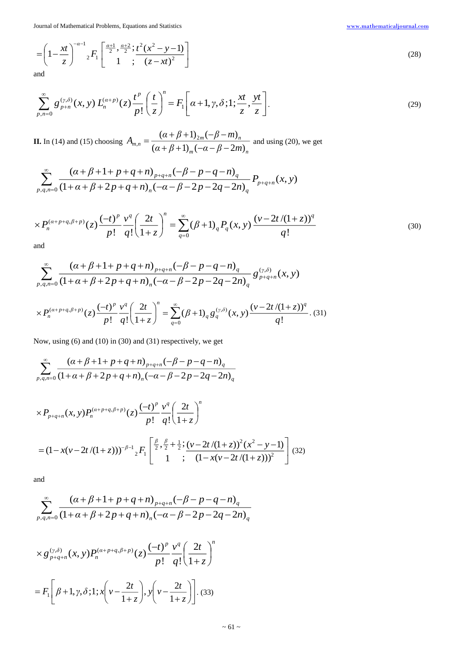Journal of Mathematical Problems, Equations and Statistics [www.mathematicaljournal.com](file://server/test/mathematicaljournal.com/issue/1%20Vol/1%20issue/www.mathematicaljournal.com)

$$
= \left(1 - \frac{xt}{z}\right)^{-\alpha - 1} {}_2F_1\left[\frac{\frac{\alpha + 1}{2}, \frac{\alpha + 2}{2}}{1}; \frac{t^2(x^2 - y - 1)}{(z - xt)^2}\right]
$$
(28)

and

$$
\sum_{p,n=0}^{\infty} g_{p+n}^{(\gamma,\delta)}(x,y) L_n^{(\alpha+p)}(z) \frac{t^p}{p!} \left(\frac{t}{z}\right)^n = F_1\left[\alpha+1,\gamma,\delta;1;\frac{xt}{z},\frac{yt}{z}\right].
$$
 (29)

**II.** In (14) and (15) choosing *m n r n*  $\mu_{m,n} = \frac{\sum_{m}^{n} P_{m} \cdot P_{m}}{(\alpha + \beta + 1)_{m}(-\alpha - \beta - 2m)}$  $A_{n} = \frac{(a + \beta + 1)_{2m}(-\beta - m)}{m}$  $(\alpha + \beta + 1)$ <sub>m</sub> $(-\alpha - \beta - 2m)$  $(\alpha + \beta + 1)_{2m}(-\beta - m)$  $(a + B + 1)$ ,  $(-a - B =\frac{(\alpha+\beta+1)_{2m}(-\beta-m)_{n}}{(\alpha+\beta+1)_{2m}(\beta-2m)}$  and using (20), we get

$$
\sum_{p,q,n=0}^{\infty} \frac{\left(\alpha+\beta+1+p+q+n\right)_{p+q+n}\left(-\beta-p-q-n\right)_{q}}{(1+\alpha+\beta+2p+q+n)_{n}\left(-\alpha-\beta-2p-2q-2n\right)_{q}} P_{p+q+n}(x,y)
$$

$$
\times P_n^{(\alpha+p+q,\beta+p)}(z) \frac{(-t)^p}{p!} \frac{v^q}{q!} \left(\frac{2t}{1+z}\right)^n = \sum_{q=0}^{\infty} (\beta+1)_q P_q(x,y) \frac{(v-2t/(1+z))^q}{q!} \tag{30}
$$

and

$$
\sum_{p,q,n=0}^{\infty} \frac{\left(\alpha+\beta+1+p+q+n\right)_{p+q+n}\left(-\beta-p-q-n\right)_{q}}{(1+\alpha+\beta+2p+q+n)_{n}\left(-\alpha-\beta-2p-2q-2n\right)_{q}} g_{p+q+n}^{(\gamma,\delta)}(x,y)
$$

$$
\times P_n^{(\alpha+p+q,\beta+p)}(z) \frac{(-t)^p}{p!} \frac{v^q}{q!} \left(\frac{2t}{1+z}\right)^n = \sum_{q=0}^{\infty} (\beta+1)_q g_q^{(\gamma,\delta)}(x,y) \frac{(\nu-2t/(1+z))^q}{q!}.
$$
 (31)

Now, using (6) and (10) in (30) and (31) respectively, we get

$$
\sum_{p,q,n=0}^{\infty} \frac{\left(\alpha+\beta+1+p+q+n\right)_{p+q+n}(-\beta-p-q-n)}{\left(1+\alpha+\beta+2p+q+n\right)_{n}(-\alpha-\beta-2p-2q-2n)_{q}}
$$

$$
\times P_{p+q+n}(x, y) P_n^{(\alpha+p+q,\beta+p)}(z) \frac{(-t)^p}{p!} \frac{v^q}{q!} \left(\frac{2t}{1+z}\right)^n
$$
  
=  $(1-x(v-2t/(1+z)))^{-\beta-1} {}_2F_1\left[\frac{\beta}{2}, \frac{\beta}{2}+\frac{1}{2}; \frac{(v-2t/(1+z))^2(x^2-y-1)}{(1-x(v-2t/(1+z)))^2}\right]$  (32)

and

$$
\sum_{p,q,n=0}^{\infty} \frac{\left(\alpha+\beta+1+p+q+n\right)_{p+q+n}(-\beta-p-q-n)}{\left(1+\alpha+\beta+2p+q+n\right)_{n}(-\alpha-\beta-2p-2q-2n)_{q}}
$$

$$
\times g_{p+q+n}^{(\gamma,\delta)}(x,y)P_n^{(\alpha+p+q,\beta+p)}(z)\frac{(-t)^p}{p!}\frac{v^q}{q!}\left(\frac{2t}{1+z}\right)^n
$$

$$
=F_1\left[\beta+1,\gamma,\delta;1;x\left(\nu-\frac{2t}{1+z}\right),y\left(\nu-\frac{2t}{1+z}\right)\right].
$$
 (33)

 $\sim 61 \sim$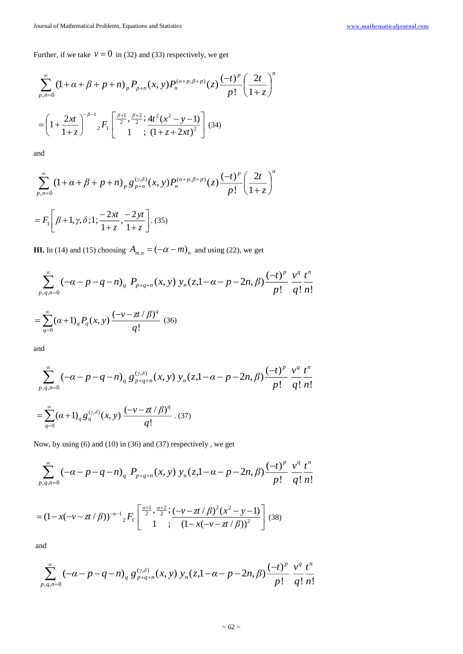Further, if we take  $v = 0$  in (32) and (33) respectively, we get

$$
\sum_{p,n=0}^{\infty} (1+\alpha+\beta+p+n) \, p \, P_{p+n}(x,y) P_n^{(\alpha+p,\beta+p)}(z) \frac{(-t)^p}{p!} \left(\frac{2t}{1+z}\right)^n
$$
\n
$$
= \left(1+\frac{2xt}{1+z}\right)^{-\beta-1} {}_2F_1\left[\frac{\beta+1}{2}, \frac{\beta+2}{2}; \frac{4t^2(x^2-y-1)}{(1+z+2xt)^2}\right] (34)
$$

and

$$
\sum_{p,n=0}^{\infty} (1+\alpha+\beta+p+n) \, \int_{p} g_{p+n}^{(\gamma,\delta)}(x,y) P_n^{(\alpha+p,\beta+p)}(z) \frac{(-t)^p}{p!} \left(\frac{2t}{1+z}\right)^n
$$
\n
$$
= F_1\left[\beta+1,\gamma,\delta;1;\frac{-2xt}{1+z},\frac{-2yt}{1+z}\right].\tag{35}
$$

**III.** In (14) and (15) choosing  $A_{m,n} = (-\alpha - m)_n$  and using (22), we get

 $\rfloor$ 

 $^{\mathrm{+}}$ 

*z*

 $^+$ 

$$
\sum_{p,q,n=0}^{\infty} (-\alpha - p - q - n)_{q} P_{p+q+n}(x, y) y_{n}(z, 1 - \alpha - p - 2n, \beta) \frac{(-t)^{p}}{p!} \frac{v^{q}}{q!} \frac{t^{n}}{n!}
$$
  
= 
$$
\sum_{q=0}^{\infty} (\alpha + 1)_{q} P_{q}(x, y) \frac{(-v - z^{q}}{q!} \frac{\beta)^{q}}{(36)}
$$

and

$$
\sum_{p,q,n=0}^{\infty} \left( -\alpha - p - q - n \right)_{q} g_{p+q+n}^{(\gamma,\delta)}(x,y) \, y_{n}(z,1-\alpha-p-2n,\beta) \frac{(-t)^{p}}{p!} \, \frac{v^{q}}{q!} \frac{t^{n}}{n!}
$$
\n
$$
= \sum_{q=0}^{\infty} \left( \alpha + 1 \right)_{q} g_{q}^{(\gamma,\delta)}(x,y) \, \frac{(-v - zt/\beta)^{q}}{q!} \, . \, (37)
$$

Now, by using (6) and (10) in (36) and (37) respectively , we get

$$
\sum_{p,q,n=0}^{\infty} \left(-\alpha - p - q - n\right)_{q} P_{p+q+n}(x,y) y_{n}(z,1-\alpha-p-2n,\beta) \frac{(-t)^{p}}{p!} \frac{v^{q}}{q!} \frac{t^{n}}{n!}
$$

$$
= (1 - x(-\nu - z t/\beta))^{-\alpha - 1} {}_{2}F_{1} \left[ \frac{\frac{\alpha + 1}{2}, \frac{\alpha + 2}{2}}{1}; \frac{(-\nu - z t/\beta)^{2}(x^{2} - y - 1)}{(1 - x(-\nu - z t/\beta))^{2}} \right] (38)
$$

and

$$
\sum_{p,q,n=0}^{\infty} \left(-\alpha - p - q - n\right)_{q} g_{p+q+n}^{(\gamma,\delta)}(x,y) y_{n}(z,1-\alpha-p-2n,\beta) \frac{(-t)^{p}}{p!} \frac{v^{q}}{q!} \frac{t^{n}}{n!}
$$